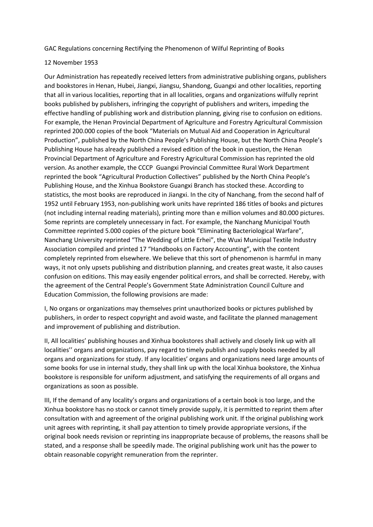GAC Regulations concerning Rectifying the Phenomenon of Wilful Reprinting of Books

## 12 November 1953

Our Administration has repeatedly received letters from administrative publishing organs, publishers and bookstores in Henan, Hubei, Jiangxi, Jiangsu, Shandong, Guangxi and other localities, reporting that all in various localities, reporting that in all localities, organs and organizations wilfully reprint books published by publishers, infringing the copyright of publishers and writers, impeding the effective handling of publishing work and distribution planning, giving rise to confusion on editions. For example, the Henan Provincial Department of Agriculture and Forestry Agricultural Commission reprinted 200.000 copies of the book "Materials on Mutual Aid and Cooperation in Agricultural Production", published by the North China People's Publishing House, but the North China People's Publishing House has already published a revised edition of the book in question, the Henan Provincial Department of Agriculture and Forestry Agricultural Commission has reprinted the old version. As another example, the CCCP Guangxi Provincial Committee Rural Work Department reprinted the book "Agricultural Production Collectives" published by the North China People's Publishing House, and the Xinhua Bookstore Guangxi Branch has stocked these. According to statistics, the most books are reproduced in Jiangxi. In the city of Nanchang, from the second half of 1952 until February 1953, non-publishing work units have reprinted 186 titles of books and pictures (not including internal reading materials), printing more than e million volumes and 80.000 pictures. Some reprints are completely unnecessary in fact. For example, the Nanchang Municipal Youth Committee reprinted 5.000 copies of the picture book "Eliminating Bacteriological Warfare", Nanchang University reprinted "The Wedding of Little Erhei", the Wuxi Municipal Textile Industry Association compiled and printed 17 "Handbooks on Factory Accounting", with the content completely reprinted from elsewhere. We believe that this sort of phenomenon is harmful in many ways, it not only upsets publishing and distribution planning, and creates great waste, it also causes confusion on editions. This may easily engender political errors, and shall be corrected. Hereby, with the agreement of the Central People's Government State Administration Council Culture and Education Commission, the following provisions are made:

I, No organs or organizations may themselves print unauthorized books or pictures published by publishers, in order to respect copyright and avoid waste, and facilitate the planned management and improvement of publishing and distribution.

II, All localities' publishing houses and Xinhua bookstores shall actively and closely link up with all localities'' organs and organizations, pay regard to timely publish and supply books needed by all organs and organizations for study. If any localities' organs and organizations need large amounts of some books for use in internal study, they shall link up with the local Xinhua bookstore, the Xinhua bookstore is responsible for uniform adjustment, and satisfying the requirements of all organs and organizations as soon as possible.

III, If the demand of any locality's organs and organizations of a certain book is too large, and the Xinhua bookstore has no stock or cannot timely provide supply, it is permitted to reprint them after consultation with and agreement of the original publishing work unit. If the original publishing work unit agrees with reprinting, it shall pay attention to timely provide appropriate versions, if the original book needs revision or reprinting ins inappropriate because of problems, the reasons shall be stated, and a response shall be speedily made. The original publishing work unit has the power to obtain reasonable copyright remuneration from the reprinter.